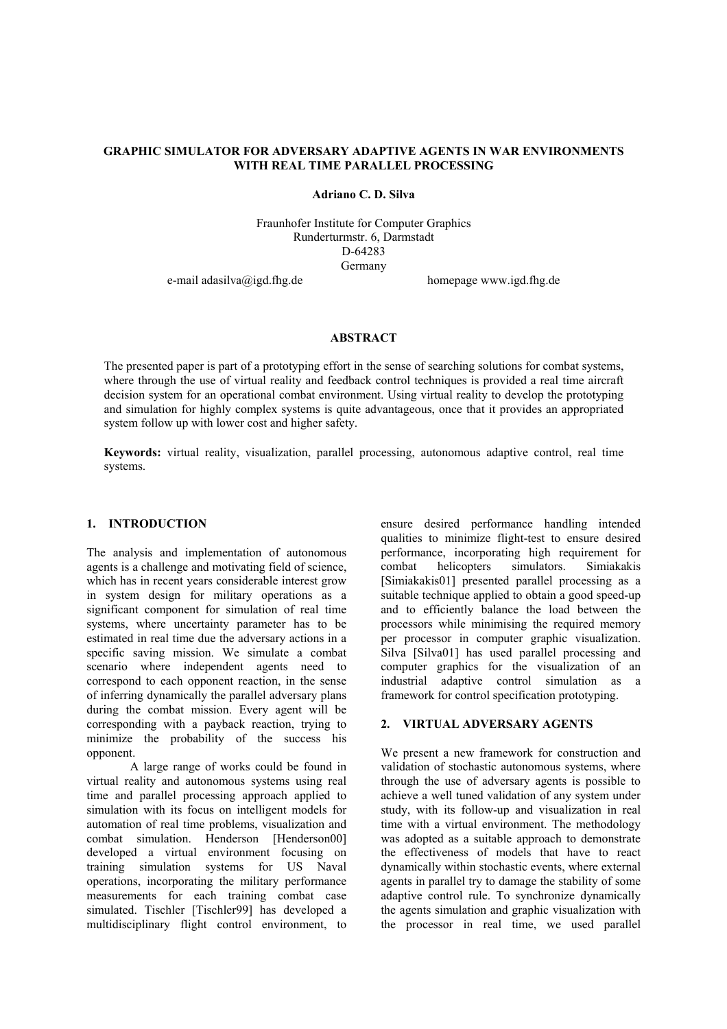## **GRAPHIC SIMULATOR FOR ADVERSARY ADAPTIVE AGENTS IN WAR ENVIRONMENTS WITH REAL TIME PARALLEL PROCESSING**

**Adriano C. D. Silva** 

Fraunhofer Institute for Computer Graphics Runderturmstr. 6, Darmstadt D-64283 Germany

e-mail adasilva@igd.fhg.de homepage www.igd.fhg.de

#### **ABSTRACT**

The presented paper is part of a prototyping effort in the sense of searching solutions for combat systems, where through the use of virtual reality and feedback control techniques is provided a real time aircraft decision system for an operational combat environment. Using virtual reality to develop the prototyping and simulation for highly complex systems is quite advantageous, once that it provides an appropriated system follow up with lower cost and higher safety.

**Keywords:** virtual reality, visualization, parallel processing, autonomous adaptive control, real time systems.

### **1. INTRODUCTION**

The analysis and implementation of autonomous agents is a challenge and motivating field of science, which has in recent years considerable interest grow in system design for military operations as a significant component for simulation of real time systems, where uncertainty parameter has to be estimated in real time due the adversary actions in a specific saving mission. We simulate a combat scenario where independent agents need to correspond to each opponent reaction, in the sense of inferring dynamically the parallel adversary plans during the combat mission. Every agent will be corresponding with a payback reaction, trying to minimize the probability of the success his opponent.

A large range of works could be found in virtual reality and autonomous systems using real time and parallel processing approach applied to simulation with its focus on intelligent models for automation of real time problems, visualization and combat simulation. Henderson [Henderson00] developed a virtual environment focusing on training simulation systems for US Naval operations, incorporating the military performance measurements for each training combat case simulated. Tischler [Tischler99] has developed a multidisciplinary flight control environment, to

ensure desired performance handling intended qualities to minimize flight-test to ensure desired performance, incorporating high requirement for combat helicopters simulators. Simiakakis [Simiakakis01] presented parallel processing as a suitable technique applied to obtain a good speed-up and to efficiently balance the load between the processors while minimising the required memory per processor in computer graphic visualization. Silva [Silva01] has used parallel processing and computer graphics for the visualization of an industrial adaptive control simulation as a framework for control specification prototyping.

## **2. VIRTUAL ADVERSARY AGENTS**

We present a new framework for construction and validation of stochastic autonomous systems, where through the use of adversary agents is possible to achieve a well tuned validation of any system under study, with its follow-up and visualization in real time with a virtual environment. The methodology was adopted as a suitable approach to demonstrate the effectiveness of models that have to react dynamically within stochastic events, where external agents in parallel try to damage the stability of some adaptive control rule. To synchronize dynamically the agents simulation and graphic visualization with the processor in real time, we used parallel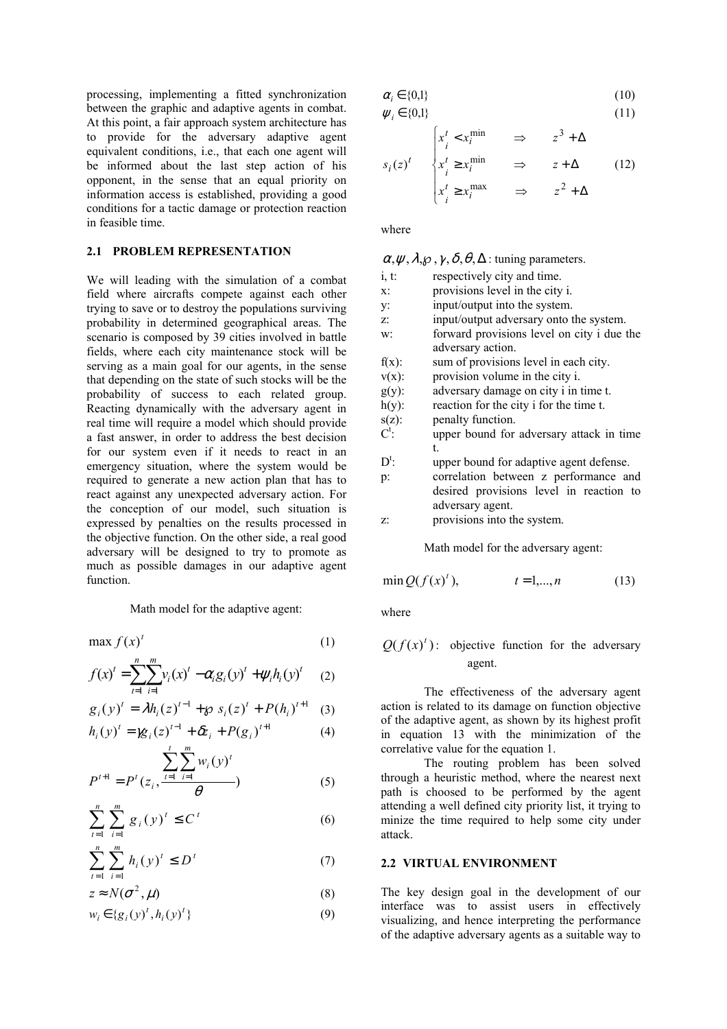processing, implementing a fitted synchronization between the graphic and adaptive agents in combat. At this point, a fair approach system architecture has to provide for the adversary adaptive agent equivalent conditions, i.e., that each one agent will be informed about the last step action of his opponent, in the sense that an equal priority on information access is established, providing a good conditions for a tactic damage or protection reaction in feasible time.

# **2.1 PROBLEM REPRESENTATION**

We will leading with the simulation of a combat field where aircrafts compete against each other trying to save or to destroy the populations surviving probability in determined geographical areas. The scenario is composed by 39 cities involved in battle fields, where each city maintenance stock will be serving as a main goal for our agents, in the sense that depending on the state of such stocks will be the probability of success to each related group. Reacting dynamically with the adversary agent in real time will require a model which should provide a fast answer, in order to address the best decision for our system even if it needs to react in an emergency situation, where the system would be required to generate a new action plan that has to react against any unexpected adversary action. For the conception of our model, such situation is expressed by penalties on the results processed in the objective function. On the other side, a real good adversary will be designed to try to promote as much as possible damages in our adaptive agent function.

Math model for the adaptive agent:

$$
\max f(x)^t \tag{1}
$$

$$
f(x)^{t} = \sum_{t=1}^{n} \sum_{i=1}^{m} v_{i}(x)^{t} - \alpha_{i} g_{i}(y)^{t} + \psi_{i} h_{i}(y)^{t} \qquad (2)
$$

$$
g_i(y)^t = \lambda h_i(z)^{t-1} + \wp s_i(z)^t + P(h_i)^{t+1} \quad (3)
$$

$$
h_i(y)^t = \mathcal{B}_i(z)^{t-1} + \delta z_i + P(g_i)^{t+1}
$$
 (4)

$$
P^{t+1} = P^t(z_i, \frac{\sum_{t=1}^t \sum_{i=1}^m w_i(y)^t}{\theta})
$$
 (5)

$$
\sum_{t=1}^{n} \sum_{i=1}^{m} g_i(y)^t \le C^t \tag{6}
$$

$$
\sum_{i=1}^{n} \sum_{i=1}^{m} h_i(y)^t \le D^t \tag{7}
$$

$$
z \approx N(\sigma^2, \mu) \tag{8}
$$

$$
w_i \in \{g_i(y)^t, h_i(y)^t\} \tag{9}
$$

$$
\alpha_i \in \{0,1\} \tag{10}
$$

$$
\psi_i \in \{0,1\} \tag{11}
$$

$$
s_i(z)^t \quad \begin{cases} x_i^t < x_i^{\min} & \Rightarrow & z^3 + \Delta \\ x_i^t \ge x_i^{\min} & \Rightarrow & z + \Delta \\ x_i^t \ge x_i^{\max} & \Rightarrow & z^2 + \Delta \end{cases} \tag{12}
$$

where

#### $\alpha, \psi, \lambda, \varphi, \gamma, \delta, \theta, \Delta$ : tuning parameters.

- i, t: respectively city and time.
- x: provisions level in the city i.
- y: input/output into the system.
- z: input/output adversary onto the system.
- w: forward provisions level on city i due the adversary action.
- $f(x)$ : sum of provisions level in each city.
- $v(x)$ : provision volume in the city i.
- g(y): adversary damage on city i in time t.
- $h(v)$ : reaction for the city i for the time t.
- s(z): penalty function.
- $C^t$ : : upper bound for adversary attack in time t.
- $D^t$ : : upper bound for adaptive agent defense.
- p: correlation between z performance and desired provisions level in reaction to adversary agent.
- z: provisions into the system.

Math model for the adversary agent:

$$
\min Q(f(x)^t), \t t = 1,...,n \t (13)
$$

where

# $Q(f(x)^t)$ : objective function for the adversary agent.

The effectiveness of the adversary agent action is related to its damage on function objective of the adaptive agent, as shown by its highest profit in equation 13 with the minimization of the correlative value for the equation 1.

The routing problem has been solved through a heuristic method, where the nearest next path is choosed to be performed by the agent attending a well defined city priority list, it trying to minize the time required to help some city under attack.

# **2.2 VIRTUAL ENVIRONMENT**

The key design goal in the development of our interface was to assist users in effectively visualizing, and hence interpreting the performance of the adaptive adversary agents as a suitable way to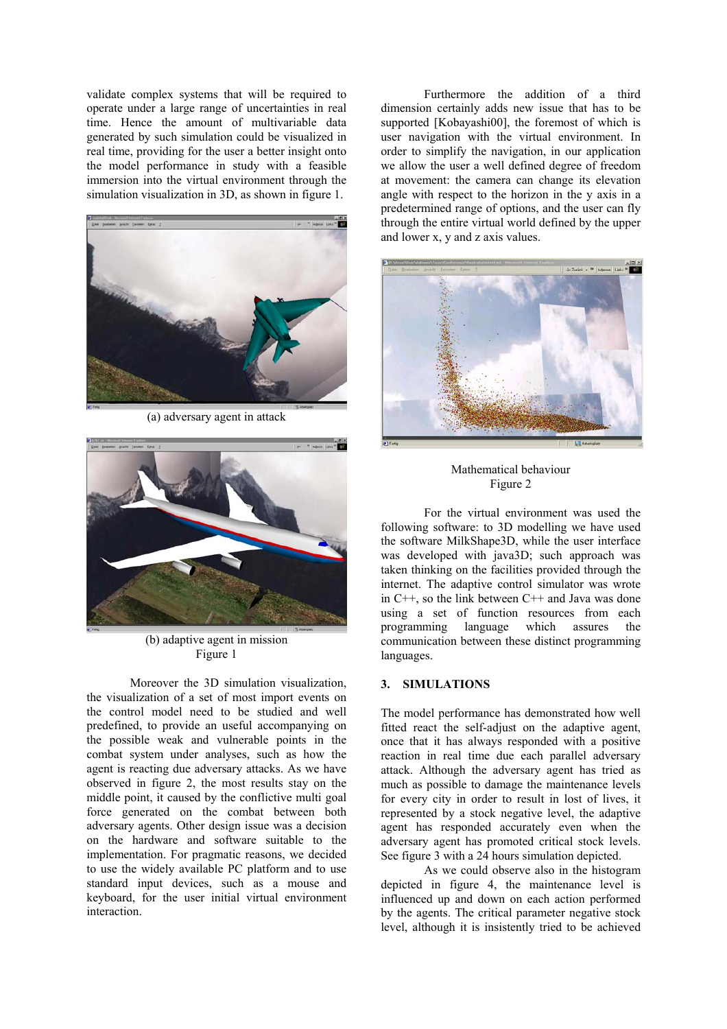validate complex systems that will be required to operate under a large range of uncertainties in real time. Hence the amount of multivariable data generated by such simulation could be visualized in real time, providing for the user a better insight onto the model performance in study with a feasible immersion into the virtual environment through the simulation visualization in 3D, as shown in figure 1.



(a) adversary agent in attack



(b) adaptive agent in mission Figure 1

Moreover the 3D simulation visualization, the visualization of a set of most import events on the control model need to be studied and well predefined, to provide an useful accompanying on the possible weak and vulnerable points in the combat system under analyses, such as how the agent is reacting due adversary attacks. As we have observed in figure 2, the most results stay on the middle point, it caused by the conflictive multi goal force generated on the combat between both adversary agents. Other design issue was a decision on the hardware and software suitable to the implementation. For pragmatic reasons, we decided to use the widely available PC platform and to use standard input devices, such as a mouse and keyboard, for the user initial virtual environment interaction.

Furthermore the addition of a third dimension certainly adds new issue that has to be supported [Kobayashi00], the foremost of which is user navigation with the virtual environment. In order to simplify the navigation, in our application we allow the user a well defined degree of freedom at movement: the camera can change its elevation angle with respect to the horizon in the y axis in a predetermined range of options, and the user can fly through the entire virtual world defined by the upper and lower x, y and z axis values.



Mathematical behaviour Figure 2

For the virtual environment was used the following software: to 3D modelling we have used the software MilkShape3D, while the user interface was developed with java3D; such approach was taken thinking on the facilities provided through the internet. The adaptive control simulator was wrote in C++, so the link between C++ and Java was done using a set of function resources from each programming language which assures the communication between these distinct programming languages.

# **3. SIMULATIONS**

The model performance has demonstrated how well fitted react the self-adjust on the adaptive agent, once that it has always responded with a positive reaction in real time due each parallel adversary attack. Although the adversary agent has tried as much as possible to damage the maintenance levels for every city in order to result in lost of lives, it represented by a stock negative level, the adaptive agent has responded accurately even when the adversary agent has promoted critical stock levels. See figure 3 with a 24 hours simulation depicted.

As we could observe also in the histogram depicted in figure 4, the maintenance level is influenced up and down on each action performed by the agents. The critical parameter negative stock level, although it is insistently tried to be achieved